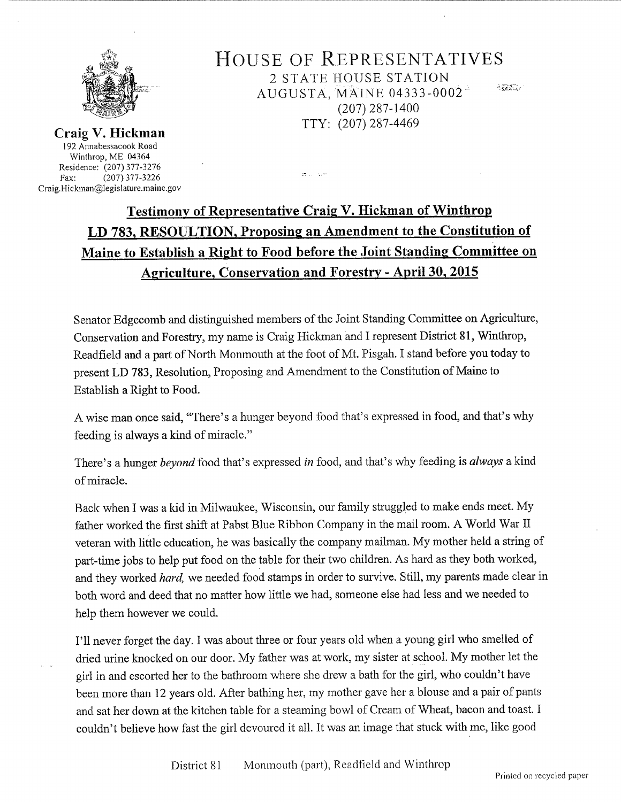

HOUSE OF REPRESENTATIVES 2 STATE HOUSE STATION AUGUSTA, MAINE 04333-0002 <sup>Q</sup>(207) 287-1400 TTY: (207)287-4469

Craig V. Hickman 192 Annabessacook Road Winthrop, ME <sup>04364</sup> Residence: (207) 377-3276<br>Fax: (207) 377-3226 Fax: (207) 377-3226 Craig.Hickman@legislature.maine.gov

## Testimonv of Representative Craig V. Hickman of Winthrop LD <sup>7</sup>83, RESOULTION. Proposing an Amendment to the Constitution of Maine to Establish a Right to Food before the Joint Standing Committee on Agriculture, Conservation and Forestrv - April 30, 2015

 $27\%$  ,  $1\%$  ,  $1\%$ 

Senator Edgecomb and distinguished members of the Joint Standing Committee on Agriculture, Conservation and Forestry, my name is Craig Hickman and I represent District 81, Winthrop, Readfield and a part of North Monmouth at the foot of Mt. Pisgah. I stand before you today to present LD 783, Resolution, Proposing and Amendment to the Constitution of Maine to Establish a Right to Food.

A wise man once said, "There's a hunger beyond food that's expressed in food, and that's why feeding is always a kind of miracle.

There's a hunger beyond food that's expressed in food, and that's why feeding is always a kind of miracle.

Back when I was a kid in Milwaukee, Wisconsin, our family struggled to make ends meet. My father worked the first shift at Pabst Blue Ribbon Company in the mail room. A World War II veteran with little education, he was basically the company mailman. My mother held a string of part-time jobs to help put food on the table for their two children. As hard as they both worked, and they worked *hard*, we needed food stamps in order to survive. Still, my parents made clear in both word and deed that no matter how little we had, someone else had less and we needed to help them however we could.

I'll never forget the day. I was about three or four years old when a young girl who smelled of dried urine knocked on our door. My father was at work, my sister at school. My mother let the girl in and escorted her to the bathroom where she drew a bath for the girl, who couldn't have been more than 12 years old. After bathing her, my mother gave her a blouse and a pair of pants and sat her down at the kitchen table for a steaming bowl of Cream of \Vheat, bacon and toast. <sup>I</sup> couldn't believe how fast the girl devoured it all. It was an image that stuck with me, like good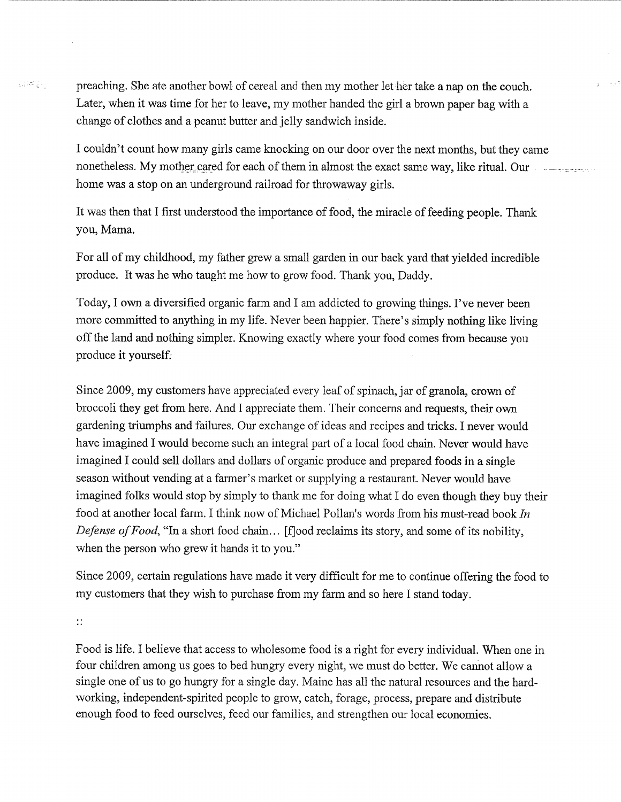preaching. She ate another bowl of cereal and then my mother let her take a nap on the couch. Later, when it was time for her to leave, my mother handed the girl a brown paper bag with <sup>a</sup> change of clothes and a peanut butter and jelly sandwich inside.

I couldn't count how many girls came knocking on our door over the next months, but they came nonetheless. My mother cared for each of them in almost the exact same way, like ritual. Our  $\cdots$ home was a stop on an underground railroad for throwaway girls.

It was then that I first understood the importance of food, the miracle of feeding people. Thank you, Mama.

For all of my childhood, my father grew a small garden in our back yard that yielded incredible produce. It was he who taught me how to grow food. Thank you, Daddy.

Today, I own a diversified organic farm and I am addicted to growing things. I've never been more committed to anything in my life. Never been happier. There's simply nothing like living off the land and nothing simpler. Knowing exactly where your food comes from because you produce it yourself.

Since 2009, my customers have appreciated every leaf of spinach, jar of granola, crown of broccoli they get from here. And I appreciate them. Their concerns and requests, their own gardening triumphs and failures. Our exchange of ideas and recipes and tricks. I never would have imagined I would become such an integral part of a local food chain. Never would have imagined I could sell dollars and dollars of organic produce and prepared foods in a single season without vending at a farmer's market or supplying a restaurant. Never would have imagined folks would stop by simply to thank me for doing what I do even though they buy their food at another local farm. I think now of Michael Pollan's words from his must-read book In Defense of Food, "In a short food chain... [f]ood reclaims its story, and some of its nobility, when the person who grew it hands it to you."

Since 2009, certain regulations have made it very difficult for me to continue offering the food to my customers that they wish to purchase from my farm and so here I stand today.

 $\mathbb{R}^{\bullet}$ 

 $\frac{1}{2}\left(\frac{1}{2}\frac{\partial \phi}{\partial x} \right)^2 \left(\frac{1}{2}\right)^2$ 

Food is life. I believe that access to wholesome food is a right for every individual. When one in four children among us goes to bed hungry every night, we must do better. We cannot allow <sup>a</sup> single one of us to go hungry for a single day. Maine has all the natural resources and the hardworking, independent spirited people to grow, catch, forage, process, prepare and distribute enough food to feed ourselves, feed our families, and strengthen our local economies.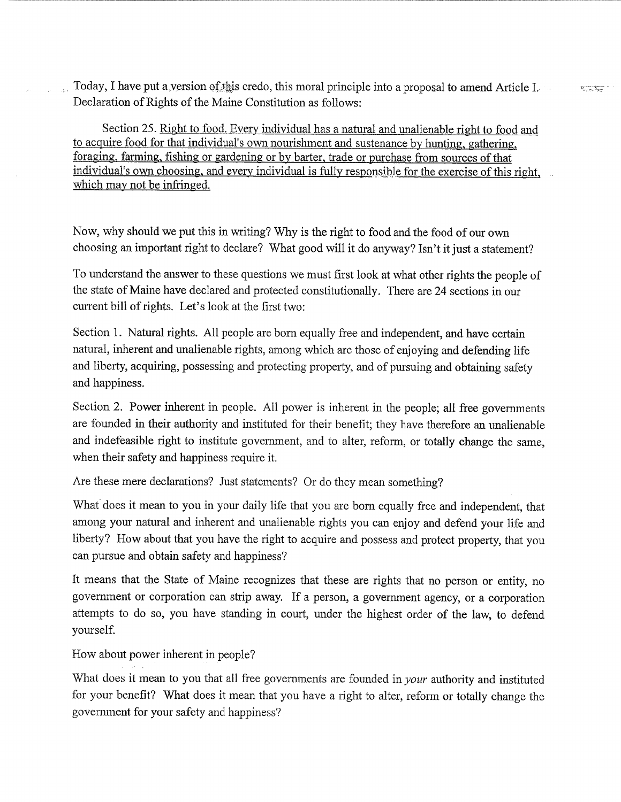Today, I have put a version of this credo, this moral principle into a proposal to amend Article I. Declaration of Rights of the Maine Constitution as follows:

Section 25. Right to food. Every individual has a natural and unalienable right to food and to acquire food for that individual's own nourishment and sustenance by hunting, gathering, foraging, farming, fishing or gardening or by barter, trade or purchase from sources of that individual's own choosing, and every individual is fully responsible for the exercise of this right, which may not be infringed.

Now, why should we put this in writing? Why is the right to food and the food of our own choosing an important right to declare? What good will it do anyway? Isn't it just a statement?

To understand the answer to these questions we must first look at what other rights the people of the state of Maine have declared and protected constitutionally. There are 24 sections in our current bill of rights. Let's look at the first two:

Section 1. Natural rights. All people are born equally free and independent, and have certain natural, inherent and unalienable rights, among which are those of enjoying and defending life and liberty, acquiring, possessing and protecting property, and of pursuing and obtaining safety and happiness.

Section 2. Power inherent in people. All power is inherent in the people; all free govermnents are founded in their authority and instituted for their benefit; they have therefore an unalienable and indefeasible right to institute government, and to alter, reform, or totally change the same, when their safety and happiness require it.

Are these mere declarations? Just statements? Or do they mean something?

What does it mean to you in your daily life that you are born equally free and independent, that among your natural and inherent and unalienable rights you can enjoy and defend your life and liberty? How about that you have the right to acquire and possess and protect property, that you can pursue and obtain safety and happiness?

It means that the State of Maine recognizes that these are rights that no person or entity, no government or corporation can strip away. If a person, a government agency, or a corporation attempts to do so, you have standing in court, under the highest order of the law, to defend yourself.

How about power inherent in people?

What does it mean to you that all free governments are founded in *your* authority and instituted for your benefit? What does it mean that you have a right to alter, reform or totally change the government for your safety and happiness?

**Recognized**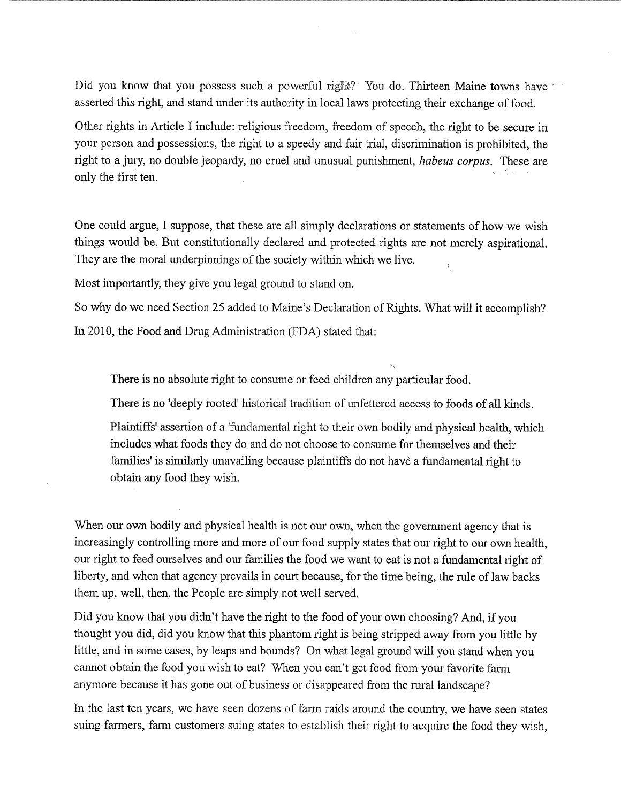Did you know that you possess such a powerful right? You do. Thirteen Maine towns have asserted this right, and stand under its authority in local laws protecting their exchange of food.

Other rights in Article I include: religious freedom, freedom of speech, the right to be secure in your person and possessions, the right to a speedy and fair trial, discrimination is prohibited, the right to a jury, no double jeopardy, no cruel and unusual punishment, *habeus corpus*. These are only the first ten. ii . .

One could argue, I suppose, that these are all simply declarations or statements of how we wish things would be. But constitutionally declared and protected rights are not merely aspirational. They are the moral underpinnings of the society within which we live.

Most importantly, they give you legal ground to stand on.

So why do we need Section 25 added to Maine's Declaration of Rights. What will it accomplish?

In 2010, the Food and Drug Administration (FDA) stated that:

There is no absolute right to consume or feed children any particular food.

There is no 'deeply rooted' historical tradition of unfettered access to foods of all kinds.

 $\mathcal{L}$ 

Plaintiffs' assertion of a 'fundamental right to their own bodily and physical health, which includes what foods they do and do not choose to consume for themselves and their families' is similarly unavailing because plaintiffs do not have a fundamental right to obtain any food they wish.

When our own bodily and physical health is not our own, when the government agency that is increasingly controlling more and more of our food supply states that our right to our own health, our right to feed ourselves and our families the food we want to eat is not a fundamental right of liberty, and when that agency prevails in court because, for the time being, the rule of law backs them up, well, then, the People are simply not well served.

Did you know that you didn't have the right to the food of your own choosing? And, if you thought you did, did you know that this phantom right is being stripped away from you little by little, and in some cases, by leaps and bounds? On what legal ground will you stand when you cannot obtain the food you wish to eat? When you can't get food from your favorite farm anymore because it has gone out of business or disappeared from the rural landscape?

In the last ten years, we have seen dozens of farm raids around the country, we have seen states suing farmers, farm customers suing states to establish their right to acquire the food they wish,